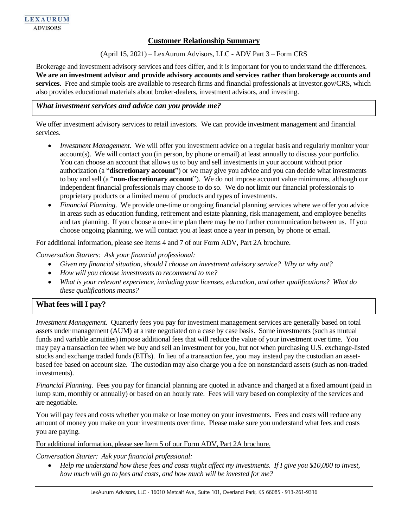## **Customer Relationship Summary**

(April 15, 2021) – LexAurum Advisors, LLC - ADV Part 3 – Form CRS

Brokerage and investment advisory services and fees differ, and it is important for you to understand the differences. **We are an investment advisor and provide advisory accounts and services rather than brokerage accounts and services**. Free and simple tools are available to research firms and financial professionals at Investor.gov/CRS, which also provides educational materials about broker-dealers, investment advisors, and investing.

### *What investment services and advice can you provide me?*

We offer investment advisory services to retail investors. We can provide investment management and financial services.

- *Investment Management*. We will offer you investment advice on a regular basis and regularly monitor your account(s). We will contact you (in person, by phone or email) at least annually to discuss your portfolio. You can choose an account that allows us to buy and sell investments in your account without prior authorization (a "**discretionary account**") or we may give you advice and you can decide what investments to buy and sell (a "**non-discretionary account**"). We do not impose account value minimums, although our independent financial professionals may choose to do so. We do not limit our financial professionals to proprietary products or a limited menu of products and types of investments.
- *Financial Planning*. We provide one-time or ongoing financial planning services where we offer you advice in areas such as education funding, retirement and estate planning, risk management, and employee benefits and tax planning. If you choose a one-time plan there may be no further communication between us. If you choose ongoing planning, we will contact you at least once a year in person, by phone or email.

#### For additional information, please see Items 4 and 7 of our Form ADV, Part 2A brochure.

*Conversation Starters: Ask your financial professional:*

- *Given my financial situation, should I choose an investment advisory service? Why or why not?*
- *How will you choose investments to recommend to me?*
- *What is your relevant experience, including your licenses, education, and other qualifications? What do these qualifications means?*

#### **What fees will I pay?**

*Investment Management*. Quarterly fees you pay for investment management services are generally based on total assets under management (AUM) at a rate negotiated on a case by case basis. Some investments (such as mutual funds and variable annuities) impose additional fees that will reduce the value of your investment over time. You may pay a transaction fee when we buy and sell an investment for you, but not when purchasing U.S. exchange-listed stocks and exchange traded funds (ETFs). In lieu of a transaction fee, you may instead pay the custodian an assetbased fee based on account size. The custodian may also charge you a fee on nonstandard assets (such as non-traded investments).

*Financial Planning*. Fees you pay for financial planning are quoted in advance and charged at a fixed amount (paid in lump sum, monthly or annually) or based on an hourly rate. Fees will vary based on complexity of the services and are negotiable.

You will pay fees and costs whether you make or lose money on your investments. Fees and costs will reduce any amount of money you make on your investments over time. Please make sure you understand what fees and costs you are paying*.*

For additional information, please see Item 5 of our Form ADV, Part 2A brochure.

*Conversation Starter: Ask your financial professional:*

• *Help me understand how these fees and costs might affect my investments. If I give you \$10,000 to invest, how much will go to fees and costs, and how much will be invested for me?*